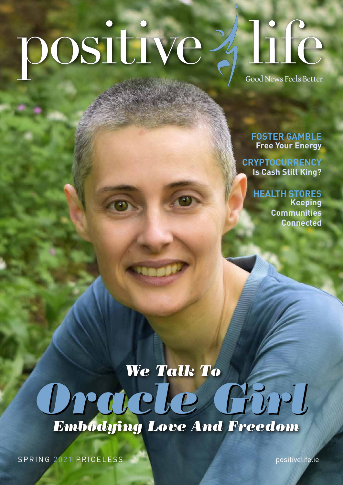## positive.



Good News Feels Better

**FOSTER GAMBLE Free Your Energy**

**Is Cash Still King? CRYPTOCURRENCY**

> **Keeping Communities Connected HEALTH STORES**

*Oracle Girl We Talk To Embodying Love And Freedom*

SPRING 2021 PRICELESS **positivelife.ie**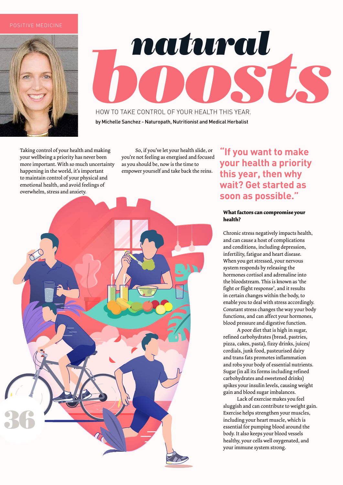### POSITIVE MEDICINE



# *natural boosts*

HOW TO TAKE CONTROL OF YOUR HEALTH THIS YEAR. by Michelle Sanchez - Naturopath, Nutritionist and Medical Herbalist

Taking control of your health and making your wellbeing a priority has never been more important. With so much uncertainty happening in the world, it's important to maintain control of your physical and emotional health, and avoid feelings of overwhelm, stress and anxiety.

So, if you've let your health slide, or you're not feeling as energised and focused as you should be, now is the time to empower yourself and take back the reins.



**"If you want to make your health a priority this year, then why wait? Get started as soon as possible."** 

### **What factors can compromise your health?**

Chronic stress negatively impacts health, and can cause a host of complications and conditions, including depression, infertility, fatigue and heart disease. When you get stressed, your nervous system responds by releasing the hormones cortisol and adrenaline into the bloodstream. This is known as 'the fight or flight response', and it results in certain changes within the body, to enable you to deal with stress accordingly. Constant stress changes the way your body functions, and can affect your hormones, blood pressure and digestive function.

A poor diet that is high in sugar, refined carbohydrates (bread, pastries, pizza, cakes, pasta), fizzy drinks, juices/ cordials, junk food, pasteurised dairy and trans fats promotes inflammation and robs your body of essential nutrients. Sugar (in all its forms including refined carbohydrates and sweetened drinks) spikes your insulin levels, causing weight gain and blood sugar imbalances.

Lack of exercise makes you feel sluggish and can contribute to weight gain. Exercise helps strengthen your muscles, including your heart muscle, which is essential for pumping blood around the body. It also keeps your blood vessels healthy, your cells well oxygenated, and your immune system strong.